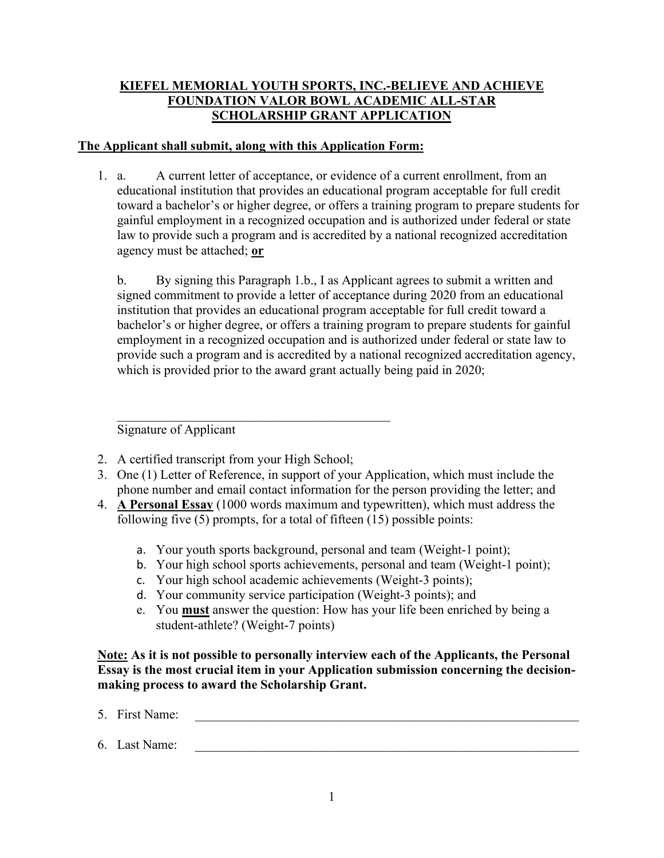## **KIEFEL MEMORIAL YOUTH SPORTS, INC.-BELIEVE AND ACHIEVE FOUNDATION VALOR BOWL ACADEMIC ALL-STAR SCHOLARSHIP GRANT APPLICATION**

## **The Applicant shall submit, along with this Application Form:**

1. a. A current letter of acceptance, or evidence of a current enrollment, from an educational institution that provides an educational program acceptable for full credit toward a bachelor's or higher degree, or offers a training program to prepare students for gainful employment in a recognized occupation and is authorized under federal or state law to provide such a program and is accredited by a national recognized accreditation agency must be attached; **or**

b. By signing this Paragraph 1.b., I as Applicant agrees to submit a written and signed commitment to provide a letter of acceptance during 2020 from an educational institution that provides an educational program acceptable for full credit toward a bachelor's or higher degree, or offers a training program to prepare students for gainful employment in a recognized occupation and is authorized under federal or state law to provide such a program and is accredited by a national recognized accreditation agency, which is provided prior to the award grant actually being paid in 2020;

Signature of Applicant

- 2. A certified transcript from your High School;
- 3. One (1) Letter of Reference, in support of your Application, which must include the phone number and email contact information for the person providing the letter; and
- 4. **A Personal Essay** (1000 words maximum and typewritten), which must address the following five (5) prompts, for a total of fifteen (15) possible points:
	- a. Your youth sports background, personal and team (Weight-1 point);
	- b. Your high school sports achievements, personal and team (Weight-1 point);
	- c. Your high school academic achievements (Weight-3 points);
	- d. Your community service participation (Weight-3 points); and
	- e. You **must** answer the question: How has your life been enriched by being a student-athlete? (Weight-7 points)

**Note: As it is not possible to personally interview each of the Applicants, the Personal Essay is the most crucial item in your Application submission concerning the decisionmaking process to award the Scholarship Grant.**

- 5. First Name:
- $6.$  Last Name: